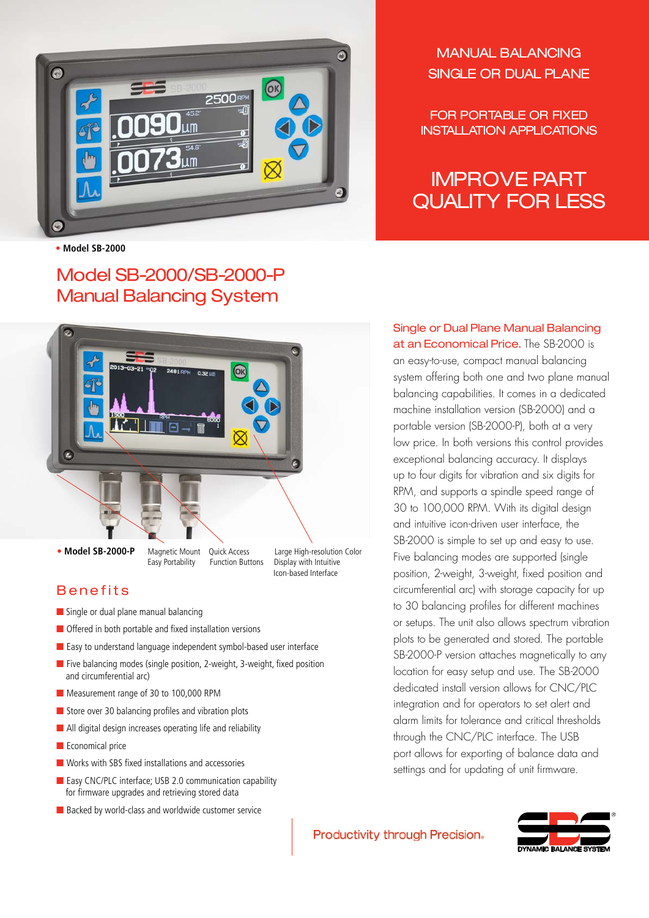

**• Model SB-2000**

# Model SB-2000/SB-2000-P Manual Balancing System



### Benefits

- Single or dual plane manual balancing
- Offered in both portable and fixed installation versions
- Easy to understand language independent symbol-based user interface
- Five balancing modes (single position, 2-weight, 3-weight, fixed position and circumferential arc)
- Measurement range of 30 to 100,000 RPM
- Store over 30 balancing profiles and vibration plots
- All digital design increases operating life and reliability
- Economical price
- Works with SBS fixed installations and accessories
- Easy CNC/PLC interface: USB 2.0 communication capability for firmware upgrades and retrieving stored data
- Backed by world-class and worldwide customer service

Manual Balancing Single or Dual Plane

For Portable or Fixed Installation Applications

# IMPROVE PART QUALITY FOR LESS

Single or Dual Plane Manual Balancing at an Economical Price. The SB-2000 is an easy-to-use, compact manual balancing system offering both one and two plane manual balancing capabilities. It comes in a dedicated machine installation version (SB-2000) and a portable version (SB-2000-P), both at a very low price. In both versions this control provides exceptional balancing accuracy. It displays up to four digits for vibration and six digits for RPM, and supports a spindle speed range of 30 to 100,000 RPM. With its digital design and intuitive icon-driven user interface, the SB-2000 is simple to set up and easy to use. Five balancing modes are supported (single position, 2-weight, 3-weight, fixed position and circumferential arc) with storage capacity for up to 30 balancing profiles for different machines or setups. The unit also allows spectrum vibration plots to be generated and stored. The portable SB-2000-P version attaches magnetically to any location for easy setup and use. The SB-2000 dedicated install version allows for CNC/PLC integration and for operators to set alert and alarm limits for tolerance and critical thresholds through the CNC/PLC interface. The USB port allows for exporting of balance data and settings and for updating of unit firmware.

#### Productivity through Precision.